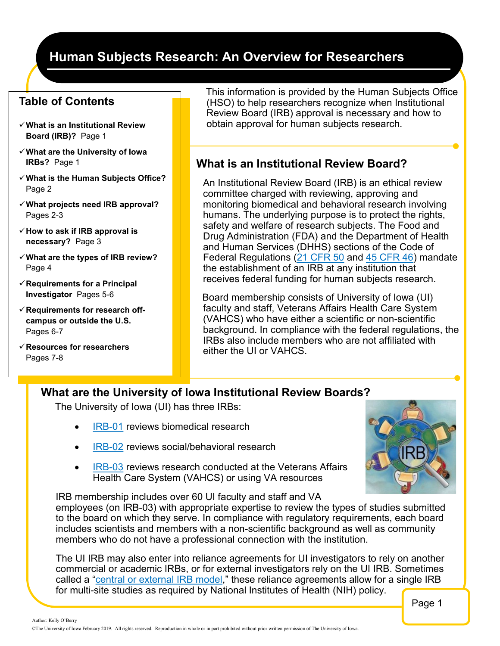# **Human Subjects Research: An Overview for Researchers**

## **Table of Contents**

- ✓**What is an Institutional Review Board (IRB)?** Page 1
- ✓**What are the University of Iowa IRBs?** Page 1
- ✓**What is the Human Subjects Office?**  Page 2
- ✓**What projects need IRB approval?**  Pages 2-3
- ✓**How to ask if IRB approval is necessary?** Page 3
- ✓**What are the types of IRB review?**  Page 4
- ✓**Requirements for a Principal Investigator** Pages 5-6
- ✓**Requirements for research offcampus or outside the U.S.**  Pages 6-7
- ✓**Resources for researchers**  Pages 7-8

This information is provided by the Human Subjects Office (HSO) to help researchers recognize when Institutional Review Board (IRB) approval is necessary and how to obtain approval for human subjects research.

### **What is an Institutional Review Board?**

An Institutional Review Board (IRB) is an ethical review committee charged with reviewing, approving and monitoring biomedical and behavioral research involving humans. The underlying purpose is to protect the rights, safety and welfare of research subjects. The Food and Drug Administration (FDA) and the Department of Health and Human Services (DHHS) sections of the Code of Federal Regulations ([21 CFR 50](http://www.accessdata.fda.gov/scripts/cdrh/cfdocs/cfcfr/CFRSearch.cfm?CFRPart=50) and [45 CFR 46\)](http://www.hhs.gov/ohrp/humansubjects/guidance/45cfr46.html) mandate the establishment of an IRB at any institution that receives federal funding for human subjects research.

Board membership consists of University of Iowa (UI) faculty and staff, Veterans Affairs Health Care System (VAHCS) who have either a scientific or non-scientific background. In compliance with the federal regulations, the IRBs also include members who are not affiliated with either the UI or VAHCS.

## **What are the University of Iowa Institutional Review Boards?**

The University of Iowa (UI) has three IRBs:

- [IRB](http://hso.research.uiowa.edu/irb-01)-01 reviews biomedical research
- [IRB](http://hso.research.uiowa.edu/irb-02)-02 reviews social/behavioral research
- [IRB](http://hso.research.uiowa.edu/research-vahcs)-03 reviews research conducted at the Veterans Affairs Health Care System (VAHCS) or using VA resources

IRB membership includes over 60 UI faculty and staff and VA employees (on IRB-03) with appropriate expertise to review the types of studies submitted to the board on which they serve. In compliance with regulatory requirements, each board includes scientists and members with a non-scientific background as well as community members who do not have a professional connection with the institution.

The UI IRB may also enter into reliance agreements for UI investigators to rely on another commercial or academic IRBs, or for external investigators rely on the UI IRB. Sometimes called a "[central or external IRB model](http://hso.research.uiowa.edu/external-and-central-irb-reliance-models)," these reliance agreements allow for a single IRB for multi-site studies as required by National Institutes of Health (NIH) policy.

Page 1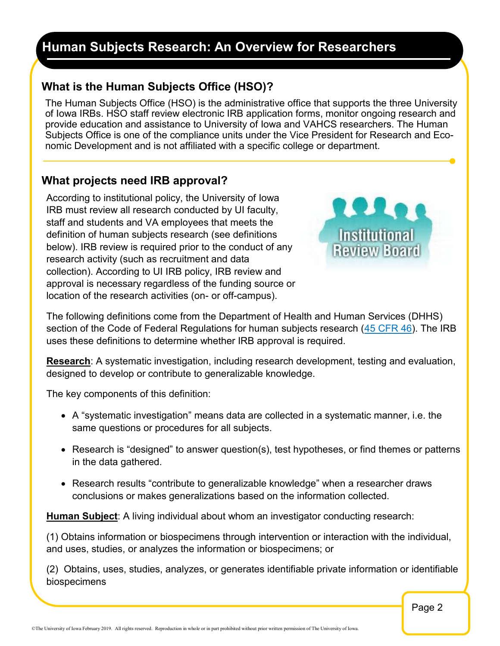#### **IRB Continuing Education January 2013 Human Subjects Research: An Overview for Researchers**

# **What is the Human Subjects Office (HSO)?**

The Human Subjects Office (HSO) is the administrative office that supports the three University of Iowa IRBs. HSO staff review electronic IRB application forms, monitor ongoing research and provide education and assistance to University of Iowa and VAHCS researchers. The Human Subjects Office is one of the compliance units under the Vice President for Research and Economic Development and is not affiliated with a specific college or department.

## **What projects need IRB approval?**

According to institutional policy, the University of Iowa IRB must review all research conducted by UI faculty, staff and students and VA employees that meets the definition of human subjects research (see definitions below). IRB review is required prior to the conduct of any research activity (such as recruitment and data collection). According to UI IRB policy, IRB review and approval is necessary regardless of the funding source or location of the research activities (on- or off-campus).



The following definitions come from the Department of Health and Human Services (DHHS) section of the Code of Federal Regulations for human subjects research [\(45 CFR 46\).](http://www.hhs.gov/ohrp/humansubjects/guidance/45cfr46.html) The IRB uses these definitions to determine whether IRB approval is required.

**Research**: A systematic investigation, including research development, testing and evaluation, designed to develop or contribute to generalizable knowledge.

The key components of this definition:

- A "systematic investigation" means data are collected in a systematic manner, i.e. the same questions or procedures for all subjects.
- Research is "designed" to answer question(s), test hypotheses, or find themes or patterns in the data gathered.
- Research results "contribute to generalizable knowledge" when a researcher draws conclusions or makes generalizations based on the information collected.

**Human Subject**: A living individual about whom an investigator conducting research:

(1) Obtains information or biospecimens through intervention or interaction with the individual, and uses, studies, or analyzes the information or biospecimens; or

(2) Obtains, uses, studies, analyzes, or generates identifiable private information or identifiable biospecimens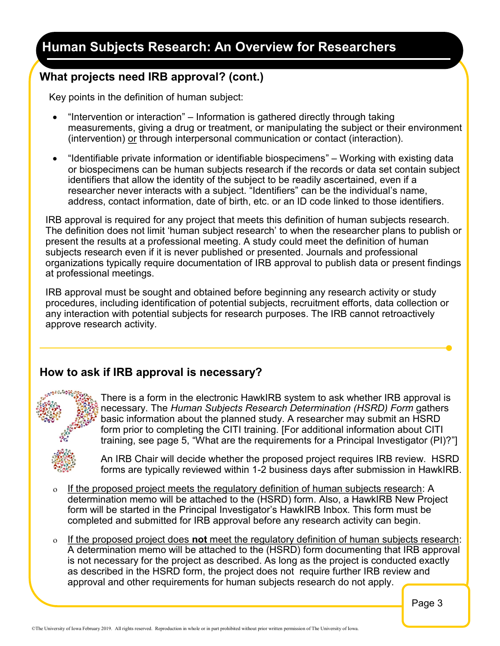#### **IRB Continuing Education January 2013 Human Subjects Research: An Overview for Researchers**

# **What projects need IRB approval? (cont.)**

Key points in the definition of human subject:

- "Intervention or interaction" Information is gathered directly through taking measurements, giving a drug or treatment, or manipulating the subject or their environment (intervention) or through interpersonal communication or contact (interaction).
- "Identifiable private information or identifiable biospecimens" Working with existing data or biospecimens can be human subjects research if the records or data set contain subject identifiers that allow the identity of the subject to be readily ascertained, even if a researcher never interacts with a subject. "Identifiers" can be the individual's name, address, contact information, date of birth, etc. or an ID code linked to those identifiers.

IRB approval is required for any project that meets this definition of human subjects research. The definition does not limit 'human subject research' to when the researcher plans to publish or present the results at a professional meeting. A study could meet the definition of human subjects research even if it is never published or presented. Journals and professional organizations typically require documentation of IRB approval to publish data or present findings at professional meetings.

IRB approval must be sought and obtained before beginning any research activity or study procedures, including identification of potential subjects, recruitment efforts, data collection or any interaction with potential subjects for research purposes. The IRB cannot retroactively approve research activity.

# **How to ask if IRB approval is necessary?**



There is a form in the electronic HawkIRB system to ask whether IRB approval is necessary. The *Human Subjects Research Determination (HSRD) Form* gathers basic information about the planned study. A researcher may submit an HSRD form prior to completing the CITI training. [For additional information about CITI training, see page 5, "What are the requirements for a Principal Investigator (PI)?"]



An IRB Chair will decide whether the proposed project requires IRB review. HSRD forms are typically reviewed within 1-2 business days after submission in HawkIRB.

- $\circ$  If the proposed project meets the regulatory definition of human subjects research: A determination memo will be attached to the (HSRD) form. Also, a HawkIRB New Project form will be started in the Principal Investigator's HawkIRB Inbox. This form must be completed and submitted for IRB approval before any research activity can begin.
- If the proposed project does **not** meet the regulatory definition of human subjects research: A determination memo will be attached to the (HSRD) form documenting that IRB approval is not necessary for the project as described. As long as the project is conducted exactly as described in the HSRD form, the project does not require further IRB review and approval and other requirements for human subjects research do not apply.

Page 3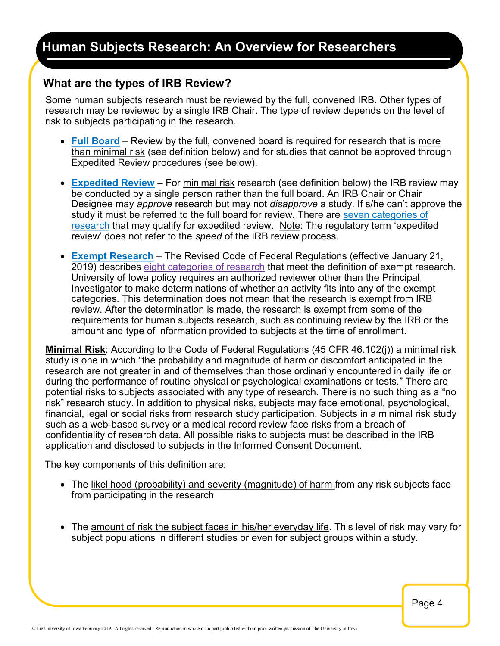### **What are the types of IRB Review?**

Some human subjects research must be reviewed by the full, convened IRB. Other types of research may be reviewed by a single IRB Chair. The type of review depends on the level of risk to subjects participating in the research.

- **[Full Board](http://hso.research.uiowa.edu/what-expect-during-irb-review-process#1)** Review by the full, convened board is required for research that is more than minimal risk (see definition below) and for studies that cannot be approved through Expedited Review procedures (see below).
- **[Expedited Review](http://hso.research.uiowa.edu/what-expect-during-irb-review-process#1)** For minimal risk research (see definition below) the IRB review may be conducted by a single person rather than the full board. An IRB Chair or Chair Designee may *approve* research but may not *disapprove* a study. If s/he can't approve the study it must be referred to the full board for review. There are [seven categories of](http://www.hhs.gov/ohrp/policy/expedited98.html)  [research](http://www.hhs.gov/ohrp/policy/expedited98.html) that may qualify for expedited review. Note: The regulatory term 'expedited review' does not refer to the *speed* of the IRB review process.
- **[Exempt Research](http://hso.research.uiowa.edu/what-expect-during-irb-review-process#1)** The Revised Code of Federal Regulations (effective January 21, 2019) describes [eight categories of research](https://www.ecfr.gov/cgi-bin/retrieveECFR?gp=&SID=83cd09e1c0f5c6937cd9d7513160fc3f&pitd=20180719&n=pt45.1.46&r=PART&ty=HTML#se45.1.46_1104) that meet the definition of exempt research. University of Iowa policy requires an authorized reviewer other than the Principal Investigator to make determinations of whether an activity fits into any of the exempt categories. This determination does not mean that the research is exempt from IRB review. After the determination is made, the research is exempt from some of the requirements for human subjects research, such as continuing review by the IRB or the amount and type of information provided to subjects at the time of enrollment.

**Minimal Risk**: According to the Code of Federal Regulations (45 CFR 46.102(j)) a minimal risk study is one in which "the probability and magnitude of harm or discomfort anticipated in the research are not greater in and of themselves than those ordinarily encountered in daily life or during the performance of routine physical or psychological examinations or tests." There are potential risks to subjects associated with any type of research. There is no such thing as a "no risk" research study. In addition to physical risks, subjects may face emotional, psychological, financial, legal or social risks from research study participation. Subjects in a minimal risk study such as a web-based survey or a medical record review face risks from a breach of confidentiality of research data. All possible risks to subjects must be described in the IRB application and disclosed to subjects in the Informed Consent Document.

The key components of this definition are:

- The likelihood (probability) and severity (magnitude) of harm from any risk subjects face from participating in the research
- The amount of risk the subject faces in his/her everyday life. This level of risk may vary for subject populations in different studies or even for subject groups within a study.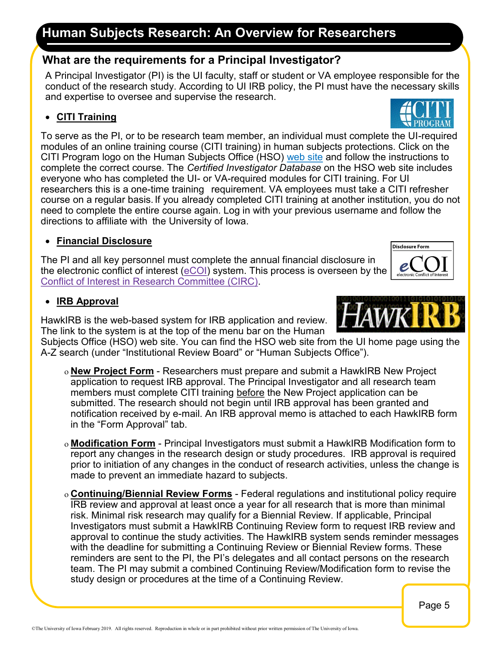# **Human Subjects Research: An Overview for Researchers**

### **What are the requirements for a Principal Investigator?**

A Principal Investigator (PI) is the UI faculty, staff or student or VA employee responsible for the conduct of the research study. According to UI IRB policy, the PI must have the necessary skills and expertise to oversee and supervise the research.

#### • **CITI Training**

To serve as the PI, or to be research team member, an individual must complete the UI-required modules of an online training course (CITI training) in human subjects protections. Click on the CITI Program logo on the Human Subjects Office (HSO) [web site](http://hso.research.uiowa.edu/) and follow the instructions to complete the correct course. The *Certified Investigator Database* on the HSO web site includes everyone who has completed the UI- or VA-required modules for CITI training. For UI researchers this is a one-time training requirement. VA employees must take a CITI refresher course on a regular basis. If you already completed CITI training at another institution, you do not need to complete the entire course again. Log in with your previous username and follow the directions to affiliate with the University of Iowa.

### • **Financial Disclosure**

The PI and all key personnel must complete the annual financial disclosure in the electronic conflict of interest [\(eCOI\)](https://login.uiowa.edu/uip/login.page?service=http://ecoi.uiowa.edu) system. This process is overseen by the [Conflict of Interest in Research Committee \(CIRC\).](http://coi.research.uiowa.edu/)

#### • **IRB Approval**

HawkIRB is the web-based system for IRB application and review. The link to the system is at the top of the menu bar on the Human

Subjects Office (HSO) web site. You can find the HSO web site from the UI home page using the A-Z search (under "Institutional Review Board" or "Human Subjects Office").

- **New Project Form** Researchers must prepare and submit a HawkIRB New Project application to request IRB approval. The Principal Investigator and all research team members must complete CITI training before the New Project application can be submitted. The research should not begin until IRB approval has been granted and notification received by e-mail. An IRB approval memo is attached to each HawkIRB form in the "Form Approval" tab.
- **Modification Form** Principal Investigators must submit a HawkIRB Modification form to report any changes in the research design or study procedures. IRB approval is required prior to initiation of any changes in the conduct of research activities, unless the change is made to prevent an immediate hazard to subjects.
- **Continuing/Biennial Review Forms** Federal regulations and institutional policy require IRB review and approval at least once a year for all research that is more than minimal risk. Minimal risk research may qualify for a Biennial Review. If applicable, Principal Investigators must submit a HawkIRB Continuing Review form to request IRB review and approval to continue the study activities. The HawkIRB system sends reminder messages with the deadline for submitting a Continuing Review or Biennial Review forms. These reminders are sent to the PI, the PI's delegates and all contact persons on the research team. The PI may submit a combined Continuing Review/Modification form to revise the study design or procedures at the time of a Continuing Review.







Disclosure Form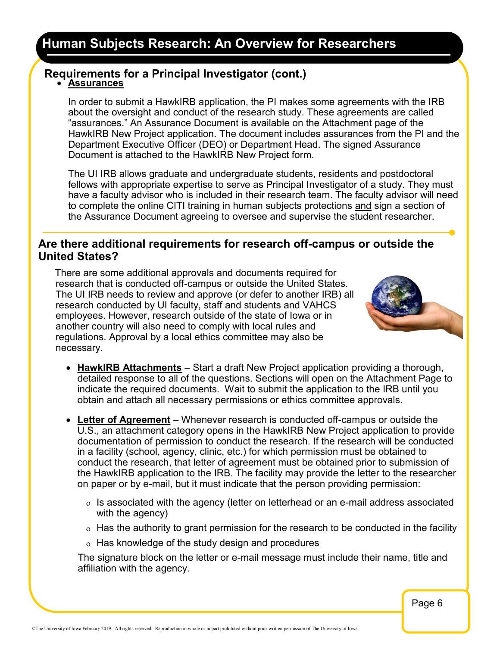# **Requirements for a Principal Investigator (cont.)**

#### • **Assurances**

In order to submit a HawkIRB application, the PI makes some agreements with the IRB about the oversight and conduct of the research study. These agreements are called "assurances." An Assurance Document is available on the Attachment page of the HawkIRB New Project application. The document includes assurances from the PI and the Department Executive Officer (DEO) or Department Head. The signed Assurance Document is attached to the HawkIRB New Project form.

The UI IRB allows graduate and undergraduate students, residents and postdoctoral fellows with appropriate expertise to serve as Principal Investigator of a study. They must have a faculty advisor who is included in their research team. The faculty advisor will need to complete the online CITI training in human subjects protections and sign a section of the Assurance Document agreeing to oversee and supervise the student researcher.

### **Are there additional requirements for research off-campus or outside the United States?**

There are some additional approvals and documents required for research that is conducted off-campus or outside the United States. The UI IRB needs to review and approve (or defer to another IRB) all research conducted by UI faculty, staff and students and VAHCS employees. However, research outside of the state of Iowa or in another country will also need to comply with local rules and regulations. Approval by a local ethics committee may also be necessary.



- **HawkIRB Attachments** Start a draft New Project application providing a thorough, detailed response to all of the questions. Sections will open on the Attachment Page to indicate the required documents. Wait to submit the application to the IRB until you obtain and attach all necessary permissions or ethics committee approvals.
- **Letter of Agreement** Whenever research is conducted off-campus or outside the U.S., an attachment category opens in the HawkIRB New Project application to provide documentation of permission to conduct the research. If the research will be conducted in a facility (school, agency, clinic, etc.) for which permission must be obtained to conduct the research, that letter of agreement must be obtained prior to submission of the HawkIRB application to the IRB. The facility may provide the letter to the researcher on paper or by e-mail, but it must indicate that the person providing permission:
	- $\circ$  Is associated with the agency (letter on letterhead or an e-mail address associated with the agency)
	- $\circ$  Has the authority to grant permission for the research to be conducted in the facility
	- $\sigma$  Has knowledge of the study design and procedures

The signature block on the letter or e-mail message must include their name, title and affiliation with the agency.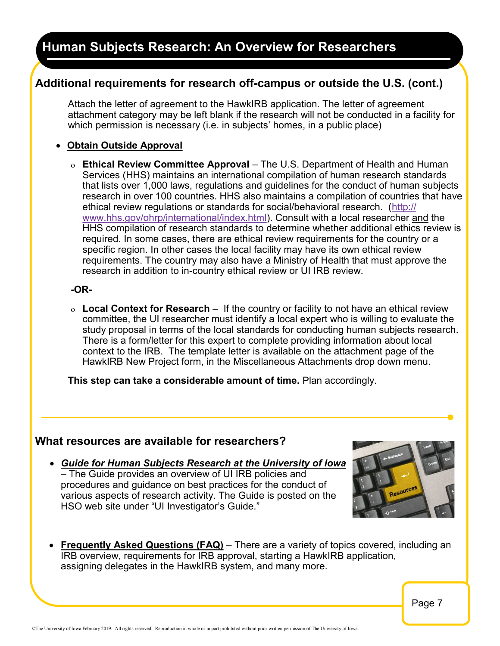## **Additional requirements for research off-campus or outside the U.S. (cont.)**

Attach the letter of agreement to the HawkIRB application. The letter of agreement attachment category may be left blank if the research will not be conducted in a facility for which permission is necessary (i.e. in subjects' homes, in a public place)

#### • **Obtain Outside Approval**

 **Ethical Review Committee Approval** – The U.S. Department of Health and Human Services (HHS) maintains an international compilation of human research standards that lists over 1,000 laws, regulations and guidelines for the conduct of human subjects research in over 100 countries. HHS also maintains a compilation of countries that have ethical review regulations or standards for social/behavioral research. ([http://](http://www.hhs.gov/ohrp/international/index.html) [www.hhs.gov/ohrp/international/index.html\).](http://www.hhs.gov/ohrp/international/index.html) Consult with a local researcher and the HHS compilation of research standards to determine whether additional ethics review is required. In some cases, there are ethical review requirements for the country or a specific region. In other cases the local facility may have its own ethical review requirements. The country may also have a Ministry of Health that must approve the research in addition to in-country ethical review or UI IRB review.

#### **-OR-**

 **Local Context for Research** – If the country or facility to not have an ethical review committee, the UI researcher must identify a local expert who is willing to evaluate the study proposal in terms of the local standards for conducting human subjects research. There is a form/letter for this expert to complete providing information about local context to the IRB. The template letter is available on the attachment page of the HawkIRB New Project form, in the Miscellaneous Attachments drop down menu.

**This step can take a considerable amount of time.** Plan accordingly.

### **What resources are available for researchers?**

• *Guide for Human Subjects Research at the University of Iowa* – The Guide provides an overview of UI IRB policies and procedures and guidance on best practices for the conduct of various aspects of research activity. The Guide is posted on the HSO web site under "UI Investigator's Guide."



• **Frequently Asked Questions (FAQ)** – There are a variety of topics covered, including an IRB overview, requirements for IRB approval, starting a HawkIRB application, assigning delegates in the HawkIRB system, and many more.

Page 7